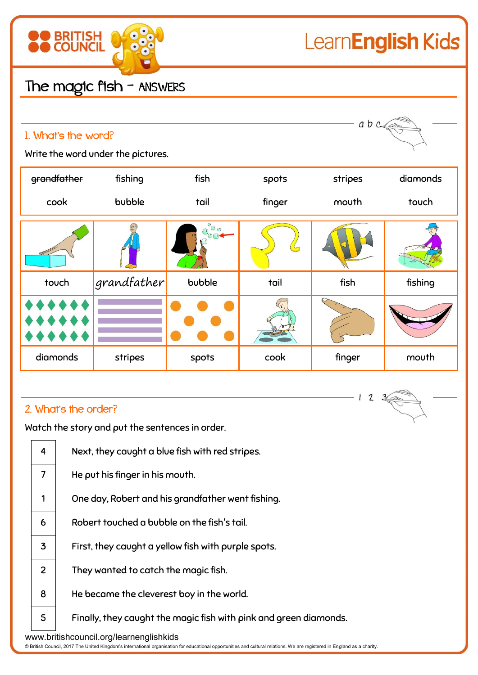

 $123$ 

## The magic fish - ANSWERS

| a b c<br>1. What's the word?<br>Write the word under the pictures. |             |                        |        |         |          |  |
|--------------------------------------------------------------------|-------------|------------------------|--------|---------|----------|--|
| grandfather                                                        | fishing     | fish                   | spots  | stripes | diamonds |  |
| cook                                                               | bubble      | tail                   | finger | mouth   | touch    |  |
|                                                                    |             | $\ddot{\circ}_{\circ}$ |        |         |          |  |
| touch                                                              | grandfather | bubble                 | tail   | fish    | fishing  |  |
|                                                                    |             |                        |        |         |          |  |
| diamonds                                                           | stripes     | spots                  | cook   | finger  | mouth    |  |

## 2. What's the order?

Watch the story and put the sentences in order.

| Next, they caught a blue fish with red stripes.                   |  |  |  |  |
|-------------------------------------------------------------------|--|--|--|--|
| He put his finger in his mouth.                                   |  |  |  |  |
| One day, Robert and his grandfather went fishing.                 |  |  |  |  |
| Robert touched a bubble on the fish's tail.                       |  |  |  |  |
| First, they caught a yellow fish with purple spots.               |  |  |  |  |
| They wanted to catch the magic fish.                              |  |  |  |  |
| He became the cleverest boy in the world.                         |  |  |  |  |
| Finally, they caught the magic fish with pink and green diamonds. |  |  |  |  |
| www.britishcouncil.org/learnenglishkids                           |  |  |  |  |
|                                                                   |  |  |  |  |

© British Council, 2017 The United Kingdom's international organisation for educational opportunities and cultural relations. We are registered in England as a charity.